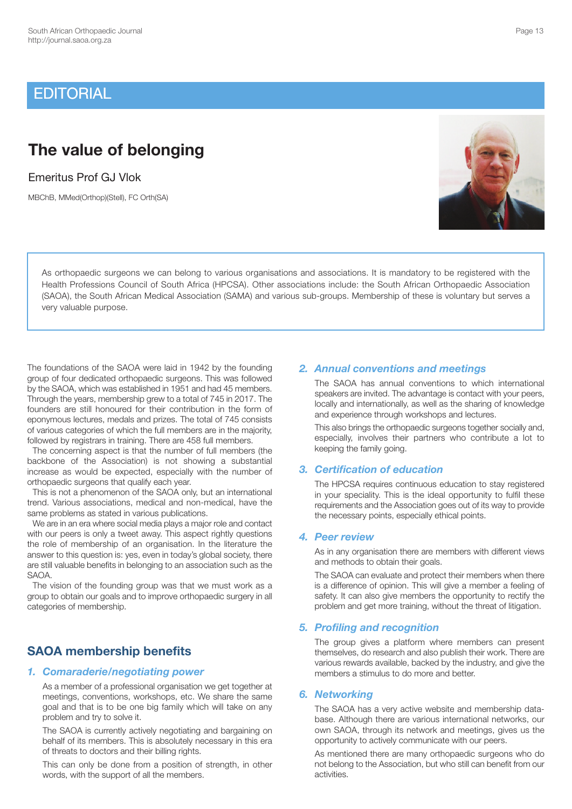# **EDITORIAL**

# **The value of belonging**

Emeritus Prof GJ Vlok

very valuable purpose.

MBChB, MMed(Orthop)(Stell), FC Orth(SA)

### *2. Annual conventions and meetings*

 The SAOA has annual conventions to which international speakers are invited. The advantage is contact with your peers, locally and internationally, as well as the sharing of knowledge and experience through workshops and lectures.

 This also brings the orthopaedic surgeons together socially and, especially, involves their partners who contribute a lot to keeping the family going.

## *3. Certification of education*

 The HPCSA requires continuous education to stay registered in your speciality. This is the ideal opportunity to fulfil these requirements and the Association goes out of its way to provide the necessary points, especially ethical points.

### *4. Peer review*

As orthopaedic surgeons we can belong to various organisations and associations. It is mandatory to be registered with the Health Professions Council of South Africa (HPCSA). Other associations include: the South African Orthopaedic Association (SAOA), the South African Medical Association (SAMA) and various sub-groups. Membership of these is voluntary but serves a

> As in any organisation there are members with different views and methods to obtain their goals.

> The SAOA can evaluate and protect their members when there is a difference of opinion. This will give a member a feeling of safety. It can also give members the opportunity to rectify the problem and get more training, without the threat of litigation.

## *5. Profiling and recognition*

 The group gives a platform where members can present themselves, do research and also publish their work. There are various rewards available, backed by the industry, and give the members a stimulus to do more and better.

### *6. Networking*

 The SAOA has a very active website and membership database. Although there are various international networks, our own SAOA, through its network and meetings, gives us the opportunity to actively communicate with our peers.

 As mentioned there are many orthopaedic surgeons who do not belong to the Association, but who still can benefit from our activities.

# **SAOA membership benefits**

categories of membership.

SAOA.

orthopaedic surgeons that qualify each year.

same problems as stated in various publications.

## *1. Comaraderie/negotiating power*

 As a member of a professional organisation we get together at meetings, conventions, workshops, etc. We share the same goal and that is to be one big family which will take on any problem and try to solve it.

The foundations of the SAOA were laid in 1942 by the founding group of four dedicated orthopaedic surgeons. This was followed by the SAOA, which was established in 1951 and had 45 members. Through the years, membership grew to a total of 745 in 2017. The founders are still honoured for their contribution in the form of eponymous lectures, medals and prizes. The total of 745 consists of various categories of which the full members are in the majority, followed by registrars in training. There are 458 full members. The concerning aspect is that the number of full members (the backbone of the Association) is not showing a substantial increase as would be expected, especially with the number of

This is not a phenomenon of the SAOA only, but an international trend. Various associations, medical and non-medical, have the

We are in an era where social media plays a major role and contact with our peers is only a tweet away. This aspect rightly questions the role of membership of an organisation. In the literature the answer to this question is: yes, even in today's global society, there are still valuable benefits in belonging to an association such as the

The vision of the founding group was that we must work as a group to obtain our goals and to improve orthopaedic surgery in all

 The SAOA is currently actively negotiating and bargaining on behalf of its members. This is absolutely necessary in this era of threats to doctors and their billing rights.

 This can only be done from a position of strength, in other words, with the support of all the members.